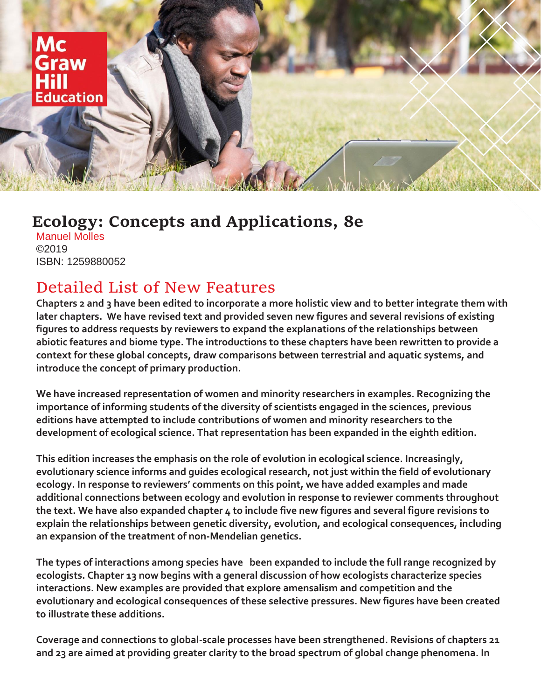

## **Ecology: Concepts and Applications, 8e**

Manuel Molles ©2019 ISBN: 1259880052

## Detailed List of New Features

**Chapters 2 and 3 have been edited to incorporate a more holistic view and to better integrate them with later chapters. We have revised text and provided seven new figures and several revisions of existing figures to address requests by reviewers to expand the explanations of the relationships between abiotic features and biome type. The introductions to these chapters have been rewritten to provide a context for these global concepts, draw comparisons between terrestrial and aquatic systems, and introduce the concept of primary production.**

**We have increased representation of women and minority researchers in examples. Recognizing the importance of informing students of the diversity of scientists engaged in the sciences, previous editions have attempted to include contributions of women and minority researchers to the development of ecological science. That representation has been expanded in the eighth edition.**

**This edition increases the emphasis on the role of evolution in ecological science. Increasingly, evolutionary science informs and guides ecological research, not just within the field of evolutionary ecology. In response to reviewers' comments on this point, we have added examples and made additional connections between ecology and evolution in response to reviewer comments throughout the text. We have also expanded chapter 4 to include five new figures and several figure revisions to explain the relationships between genetic diversity, evolution, and ecological consequences, including an expansion of the treatment of non-Mendelian genetics.**

**The types of interactions among species have been expanded to include the full range recognized by ecologists. Chapter 13 now begins with a general discussion of how ecologists characterize species interactions. New examples are provided that explore amensalism and competition and the evolutionary and ecological consequences of these selective pressures. New figures have been created to illustrate these additions.**

**Coverage and connections to global-scale processes have been strengthened. Revisions of chapters 21 and 23 are aimed at providing greater clarity to the broad spectrum of global change phenomena. In**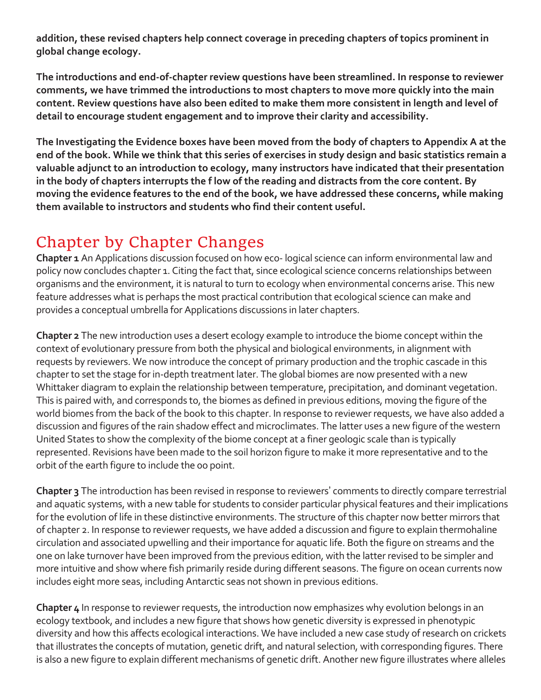**addition, these revised chapters help connect coverage in preceding chapters of topics prominent in global change ecology.**

**The introductions and end-of-chapter review questions have been streamlined. In response to reviewer comments, we have trimmed the introductions to most chapters to move more quickly into the main content. Review questions have also been edited to make them more consistent in length and level of detail to encourage student engagement and to improve their clarity and accessibility.**

**The Investigating the Evidence boxes have been moved from the body of chapters to Appendix A at the end of the book. While we think that this series of exercises in study design and basic statistics remain a valuable adjunct to an introduction to ecology, many instructors have indicated that their presentation in the body of chapters interrupts the f low of the reading and distracts from the core content. By moving the evidence features to the end of the book, we have addressed these concerns, while making them available to instructors and students who find their content useful.**

## Chapter by Chapter Changes

**Chapter 1** An Applications discussion focused on how eco- logical science can inform environmental law and policy now concludes chapter 1. Citing the fact that, since ecological science concerns relationships between organisms and the environment, it is natural to turn to ecology when environmental concerns arise. This new feature addresses what is perhaps the most practical contribution that ecological science can make and provides a conceptual umbrella for Applications discussions in later chapters.

**Chapter 2** The new introduction uses a desert ecology example to introduce the biome concept within the context of evolutionary pressure from both the physical and biological environments, in alignment with requests by reviewers. We now introduce the concept of primary production and the trophic cascade in this chapter to set the stage for in-depth treatment later. The global biomes are now presented with a new Whittaker diagram to explain the relationship between temperature, precipitation, and dominant vegetation. This is paired with, and corresponds to, the biomes as defined in previous editions, moving the figure of the world biomes from the back of the book to this chapter. In response to reviewer requests, we have also added a discussion and figures of the rain shadow effect and microclimates. The latter uses a new figure of the western United States to show the complexity of the biome concept at a finer geologic scale than is typically represented. Revisions have been made to the soil horizon figure to make it more representative and to the orbit of the earth figure to include the 0o point.

**Chapter 3** The introduction has been revised in response to reviewers' comments to directly compare terrestrial and aquatic systems, with a new table for students to consider particular physical features and their implications for the evolution of life in these distinctive environments. The structure of this chapter now better mirrors that of chapter 2. In response to reviewer requests, we have added a discussion and figure to explain thermohaline circulation and associated upwelling and their importance for aquatic life. Both the figure on streams and the one on lake turnover have been improved from the previous edition, with the latter revised to be simpler and more intuitive and show where fish primarily reside during different seasons. The figure on ocean currents now includes eight more seas, including Antarctic seas not shown in previous editions.

**Chapter 4** In response to reviewer requests, the introduction now emphasizes why evolution belongs in an ecology textbook, and includes a new figure that shows how genetic diversity is expressed in phenotypic diversity and how this affects ecological interactions. We have included a new case study of research on crickets that illustrates the concepts of mutation, genetic drift, and natural selection, with corresponding figures. There is also a new figure to explain different mechanisms of genetic drift. Another new figure illustrates where alleles